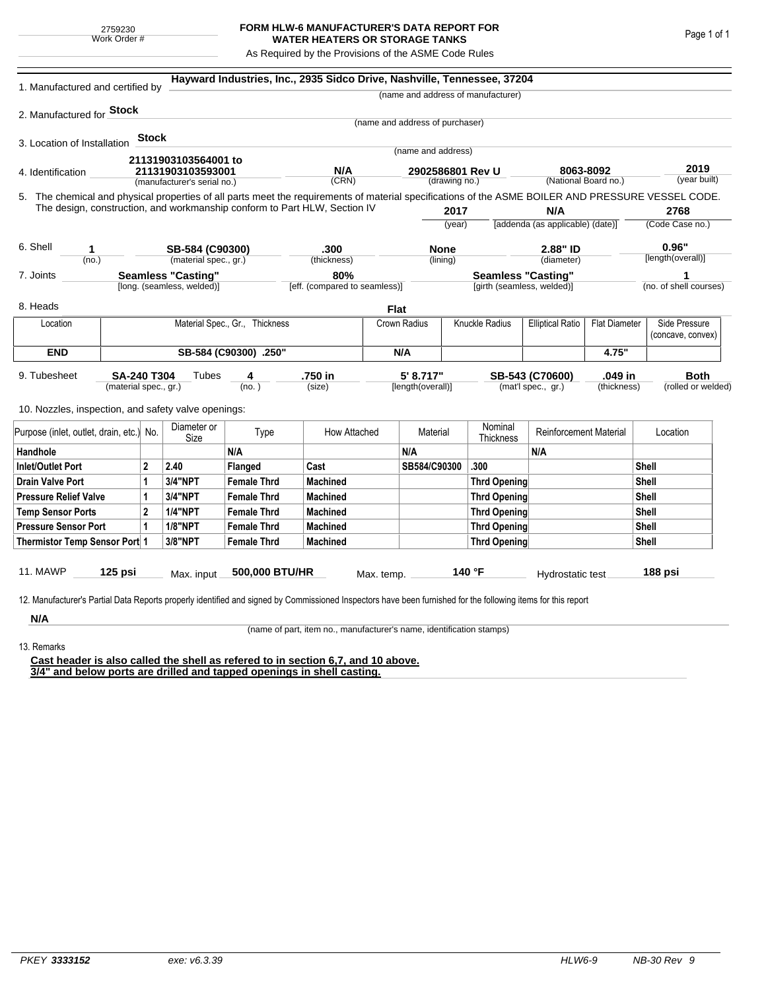## **FORM HLW-6 MANUFACTURER'S DATA REPORT FOR WATER HEATERS OR STORAGE TANKS**

As Required by the Provisions of the ASME Code Rules

| 1. Manufactured and certified by                                                                                                                                                  |                       |                |                                |                    | Hayward Industries, Inc., 2935 Sidco Drive, Nashville, Tennessee, 37204 |            |                                 |                                           |                                    |                                         |       |                         |                        |
|-----------------------------------------------------------------------------------------------------------------------------------------------------------------------------------|-----------------------|----------------|--------------------------------|--------------------|-------------------------------------------------------------------------|------------|---------------------------------|-------------------------------------------|------------------------------------|-----------------------------------------|-------|-------------------------|------------------------|
|                                                                                                                                                                                   |                       |                |                                |                    |                                                                         |            |                                 |                                           | (name and address of manufacturer) |                                         |       |                         |                        |
| 2. Manufactured for <b>Stock</b>                                                                                                                                                  |                       |                |                                |                    |                                                                         |            |                                 |                                           |                                    |                                         |       |                         |                        |
|                                                                                                                                                                                   |                       |                |                                |                    |                                                                         |            | (name and address of purchaser) |                                           |                                    |                                         |       |                         |                        |
| 3. Location of Installation                                                                                                                                                       |                       | <b>Stock</b>   |                                |                    |                                                                         |            |                                 |                                           |                                    |                                         |       |                         |                        |
|                                                                                                                                                                                   |                       |                | 21131903103564001 to           |                    |                                                                         |            | (name and address)              |                                           |                                    |                                         |       |                         |                        |
| 4. Identification                                                                                                                                                                 |                       |                | 21131903103593001              |                    | N/A                                                                     |            | 2902586801 Rev U                |                                           |                                    | 8063-8092                               |       | 2019<br>(year built)    |                        |
| (manufacturer's serial no.)<br>5. The chemical and physical properties of all parts meet the requirements of material specifications of the ASME BOILER AND PRESSURE VESSEL CODE. |                       |                |                                |                    | (CRN)<br>(drawing no.)                                                  |            |                                 | (National Board no.)                      |                                    |                                         |       |                         |                        |
| The design, construction, and workmanship conform to Part HLW, Section IV                                                                                                         |                       |                |                                |                    |                                                                         |            |                                 |                                           |                                    |                                         |       |                         |                        |
|                                                                                                                                                                                   |                       |                |                                |                    |                                                                         |            | 2017<br>(year)                  |                                           |                                    | N/A<br>[addenda (as applicable) (date)] |       | 2768<br>(Code Case no.) |                        |
|                                                                                                                                                                                   |                       |                |                                |                    |                                                                         |            |                                 |                                           |                                    |                                         |       |                         |                        |
| 6. Shell<br>1                                                                                                                                                                     |                       |                | SB-584 (C90300)                |                    | .300                                                                    |            | <b>None</b>                     |                                           | 2.88" ID                           |                                         |       | 0.96"                   |                        |
| (no.)                                                                                                                                                                             | (material spec., gr.) |                |                                |                    | (thickness)                                                             | (lining)   |                                 |                                           |                                    | (diameter)                              |       | [length(overall)]       |                        |
| 7. Joints                                                                                                                                                                         |                       |                | <b>Seamless "Casting"</b>      |                    | 80%                                                                     |            |                                 |                                           | <b>Seamless "Casting"</b>          |                                         |       |                         |                        |
|                                                                                                                                                                                   |                       |                | [long. (seamless, welded)]     |                    | [eff. (compared to seamless)]                                           |            |                                 |                                           | [girth (seamless, welded)]         |                                         |       |                         | (no. of shell courses) |
| 8. Heads                                                                                                                                                                          |                       |                |                                |                    |                                                                         | Flat       |                                 |                                           |                                    |                                         |       |                         |                        |
| Location                                                                                                                                                                          |                       |                | Material Spec., Gr., Thickness |                    | Crown Radius                                                            |            |                                 | Knuckle Radius<br><b>Elliptical Ratio</b> |                                    | <b>Flat Diameter</b>                    |       | Side Pressure           |                        |
|                                                                                                                                                                                   |                       |                |                                |                    |                                                                         |            |                                 |                                           |                                    |                                         |       |                         | (concave, convex)      |
| <b>END</b>                                                                                                                                                                        | SB-584 (C90300) .250" |                |                                |                    |                                                                         |            | N/A                             |                                           |                                    |                                         | 4.75" |                         |                        |
| 9. Tubesheet<br><b>SA-240 T304</b>                                                                                                                                                |                       |                | Tubes                          | 4                  | .750 in                                                                 | 5' 8.717"  |                                 | SB-543 (C70600)<br>.049 in                |                                    |                                         |       | <b>Both</b>             |                        |
| (material spec., gr.)                                                                                                                                                             |                       |                |                                | (no.)              | (size)                                                                  |            | [length(overall)]               |                                           | (mat'l spec., gr.)<br>(thickness)  |                                         |       | (rolled or welded)      |                        |
| 10. Nozzles, inspection, and safety valve openings:                                                                                                                               |                       |                |                                |                    |                                                                         |            |                                 |                                           |                                    |                                         |       |                         |                        |
| Purpose (inlet, outlet, drain, etc.) No.                                                                                                                                          |                       |                | Diameter or<br>Size            | Type               | How Attached                                                            |            | Material                        |                                           | Nominal<br>Thickness               | <b>Reinforcement Material</b>           |       |                         | Location               |
| Handhole                                                                                                                                                                          |                       |                |                                | N/A                |                                                                         |            | N/A                             |                                           |                                    | N/A                                     |       |                         |                        |
| <b>Inlet/Outlet Port</b>                                                                                                                                                          |                       | 2              | 2.40                           | Flanged            | Cast                                                                    |            | SB584/C90300                    |                                           | .300                               |                                         |       | Shell                   |                        |
| <b>Drain Valve Port</b>                                                                                                                                                           |                       | <b>3/4"NPT</b> | <b>Female Thrd</b>             | <b>Machined</b>    |                                                                         |            |                                 | <b>Thrd Opening</b>                       |                                    |                                         | Shell |                         |                        |
| <b>Pressure Relief Valve</b><br>1                                                                                                                                                 |                       | 3/4"NPT        | <b>Female Thrd</b>             | <b>Machined</b>    |                                                                         |            |                                 | <b>Thrd Opening</b>                       |                                    |                                         | Shell |                         |                        |
| $\overline{2}$<br><b>Temp Sensor Ports</b>                                                                                                                                        |                       |                | <b>1/4"NPT</b>                 | <b>Female Thrd</b> | <b>Machined</b>                                                         |            |                                 | <b>Thrd Opening</b>                       |                                    |                                         |       | Shell                   |                        |
| <b>Pressure Sensor Port</b><br>1                                                                                                                                                  |                       |                | <b>1/8"NPT</b>                 | <b>Female Thrd</b> | <b>Machined</b>                                                         |            |                                 |                                           | Thrd Opening                       |                                         |       | Shell                   |                        |
| Thermistor Temp Sensor Port 1                                                                                                                                                     |                       |                | 3/8"NPT                        | <b>Female Thrd</b> | <b>Machined</b>                                                         |            |                                 | Thrd Opening                              |                                    |                                         |       | Shell                   |                        |
|                                                                                                                                                                                   |                       |                |                                |                    |                                                                         |            |                                 |                                           |                                    |                                         |       |                         |                        |
| 11. MAWP                                                                                                                                                                          | $125$ psi             |                | Max. input                     | 500,000 BTU/HR     |                                                                         | Max. temp. |                                 |                                           | 140 °F                             | Hydrostatic test                        |       |                         | 188 psi                |
|                                                                                                                                                                                   |                       |                |                                |                    |                                                                         |            |                                 |                                           |                                    |                                         |       |                         |                        |
| 12. Manufacturer's Partial Data Reports properly identified and signed by Commissioned Inspectors have been furnished for the following items for this report                     |                       |                |                                |                    |                                                                         |            |                                 |                                           |                                    |                                         |       |                         |                        |
| N/A                                                                                                                                                                               |                       |                |                                |                    |                                                                         |            |                                 |                                           |                                    |                                         |       |                         |                        |

(name of part, item no., manufacturer's name, identification stamps)

13. Remarks

**Cast header is also called the shell as refered to in section 6,7, and 10 above. 3/4" and below ports are drilled and tapped openings in shell casting.**